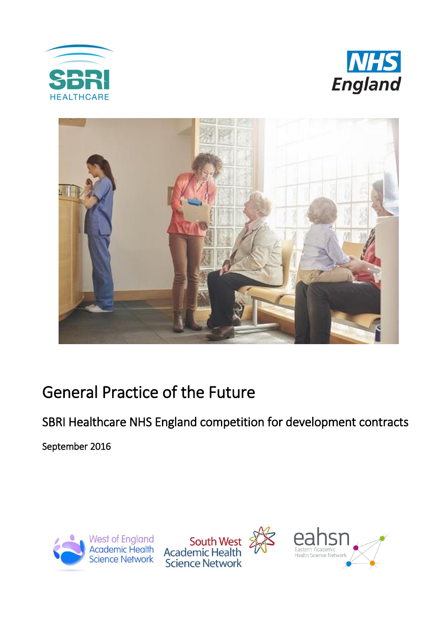





# General Practice of the Future

SBRI Healthcare NHS England competition for development contracts

September 2016



South West<br>Academic Health **Science Network** 

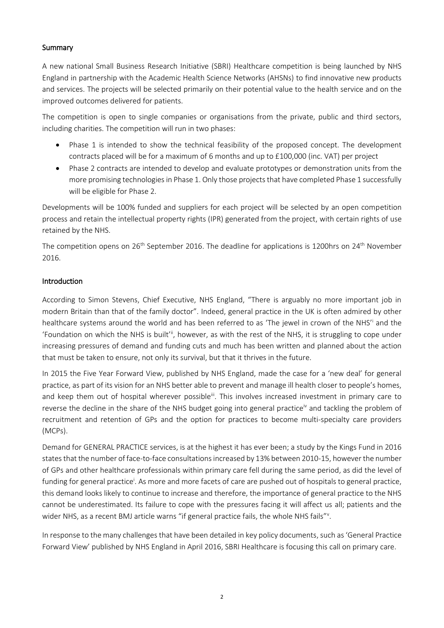#### Summary

A new national Small Business Research Initiative (SBRI) Healthcare competition is being launched by NHS England in partnership with the Academic Health Science Networks (AHSNs) to find innovative new products and services. The projects will be selected primarily on their potential value to the health service and on the improved outcomes delivered for patients.

The competition is open to single companies or organisations from the private, public and third sectors, including charities. The competition will run in two phases:

- Phase 1 is intended to show the technical feasibility of the proposed concept. The development contracts placed will be for a maximum of 6 months and up to £100,000 (inc. VAT) per project
- Phase 2 contracts are intended to develop and evaluate prototypes or demonstration units from the more promising technologies in Phase 1. Only those projects that have completed Phase 1 successfully will be eligible for Phase 2.

Developments will be 100% funded and suppliers for each project will be selected by an open competition process and retain the intellectual property rights (IPR) generated from the project, with certain rights of use retained by the NHS.

The competition opens on 26<sup>th</sup> September 2016. The deadline for applications is 1200hrs on 24<sup>th</sup> November 2016.

#### Introduction

<span id="page-1-0"></span>According to Simon Stevens, Chief Executive, NHS England, "There is arguably no more important job in modern Britain than that of the family doctor". Indeed, general practice in the UK is often admired by other healthcare systems around the world and has been referred to as 'The jewel in crown of the NHS'i and the 'Foundation on which the NHS is built'ii, however, as with the rest of the NHS, it is struggling to cope under increasing pressures of demand and funding cuts and much has been written and planned about the action that must be taken to ensure, not only its survival, but that it thrives in the future.

In 2015 the Five Year Forward View, published by NHS England, made the case for a 'new deal' for general practice, as part of its vision for an NHS better able to prevent and manage ill health closer to people's homes, and keep them out of hospital wherever possible<sup>iii</sup>. This involves increased investment in primary care to reverse the decline in the share of the NHS budget going into general practice<sup>iv</sup> and tackling the problem of recruitment and retention of GPs and the option for practices to become multi-specialty care providers (MCPs).

Demand for GENERAL PRACTICE services, is at the highest it has ever been; a study by the Kings Fund in 2016 states that the number of face-to-face consultations increased by 13% between 2010-15, however the number of GPs and other healthcare professionals within primary care fell during the same period, as did the level of funding for general practice<sup>i</sup>[.](#page-1-0) As more and more facets of care are pushed out of hospitals to general practice, this demand looks likely to continue to increase and therefore, the importance of general practice to the NHS cannot be underestimated. Its failure to cope with the pressures facing it will affect us all; patients and the wider NHS, as a recent BMJ article warns "if general practice fails, the whole NHS fails"<sup>v</sup>.

In response to the many challenges that have been detailed in key policy documents, such as 'General Practice Forward View' published by NHS England in April 2016, SBRI Healthcare is focusing this call on primary care.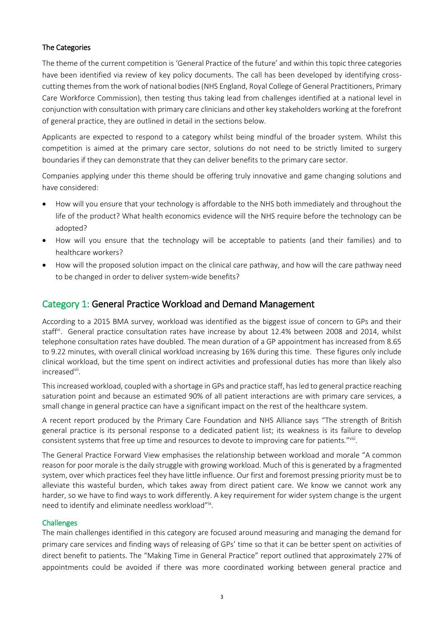#### The Categories

The theme of the current competition is 'General Practice of the future' and within this topic three categories have been identified via review of key policy documents. The call has been developed by identifying crosscutting themes from the work of national bodies (NHS England, Royal College of General Practitioners, Primary Care Workforce Commission), then testing thus taking lead from challenges identified at a national level in conjunction with consultation with primary care clinicians and other key stakeholders working at the forefront of general practice, they are outlined in detail in the sections below.

Applicants are expected to respond to a category whilst being mindful of the broader system. Whilst this competition is aimed at the primary care sector, solutions do not need to be strictly limited to surgery boundaries if they can demonstrate that they can deliver benefits to the primary care sector.

Companies applying under this theme should be offering truly innovative and game changing solutions and have considered:

- How will you ensure that your technology is affordable to the NHS both immediately and throughout the life of the product? What health economics evidence will the NHS require before the technology can be adopted?
- How will you ensure that the technology will be acceptable to patients (and their families) and to healthcare workers?
- How will the proposed solution impact on the clinical care pathway, and how will the care pathway need to be changed in order to deliver system-wide benefits?

### Category 1: General Practice Workload and Demand Management

According to a 2015 BMA survey, workload was identified as the biggest issue of concern to GPs and their staff<sup>vi</sup>. General practice consultation rates have increase by about 12.4% between 2008 and 2014, whilst telephone consultation rates have doubled. The mean duration of a GP appointment has increased from 8.65 to 9.22 minutes, with overall clinical workload increasing by 16% during this time. These figures only include clinical workload, but the time spent on indirect activities and professional duties has more than likely also increased<sup>vii</sup>.

This increased workload, coupled with a shortage in GPs and practice staff, has led to general practice reaching saturation point and because an estimated 90% of all patient interactions are with primary care services, a small change in general practice can have a significant impact on the rest of the healthcare system.

A recent report produced by the Primary Care Foundation and NHS Alliance says "The strength of British general practice is its personal response to a dedicated patient list; its weakness is its failure to develop consistent systems that free up time and resources to devote to improving care for patients."Vill.

The General Practice Forward View emphasises the relationship between workload and morale "A common reason for poor morale is the daily struggle with growing workload. Much of this is generated by a fragmented system, over which practices feel they have little influence. Our first and foremost pressing priority must be to alleviate this wasteful burden, which takes away from direct patient care. We know we cannot work any harder, so we have to find ways to work differently. A key requirement for wider system change is the urgent need to identify and eliminate needless workload"ix.

#### **Challenges**

The main challenges identified in this category are focused around measuring and managing the demand for primary care services and finding ways of releasing of GPs' time so that it can be better spent on activities of direct benefit to patients. The "Making Time in General Practice" report outlined that approximately 27% of appointments could be avoided if there was more coordinated working between general practice and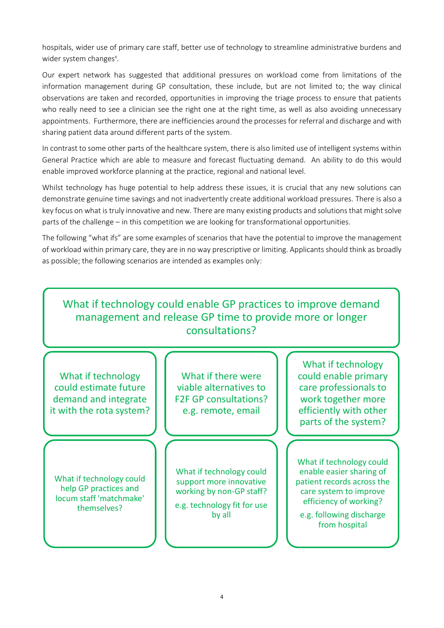hospitals, wider use of primary care staff, better use of technology to streamline administrative burdens and wider system changes<sup>x</sup>.

Our expert network has suggested that additional pressures on workload come from limitations of the information management during GP consultation, these include, but are not limited to; the way clinical observations are taken and recorded, opportunities in improving the triage process to ensure that patients who really need to see a clinician see the right one at the right time, as well as also avoiding unnecessary appointments. Furthermore, there are inefficiencies around the processes for referral and discharge and with sharing patient data around different parts of the system.

In contrast to some other parts of the healthcare system, there is also limited use of intelligent systems within General Practice which are able to measure and forecast fluctuating demand. An ability to do this would enable improved workforce planning at the practice, regional and national level.

Whilst technology has huge potential to help address these issues, it is crucial that any new solutions can demonstrate genuine time savings and not inadvertently create additional workload pressures. There is also a key focus on what is truly innovative and new. There are many existing products and solutions that might solve parts of the challenge – in this competition we are looking for transformational opportunities.

The following "what ifs" are some examples of scenarios that have the potential to improve the management of workload within primary care, they are in no way prescriptive or limiting. Applicants should think as broadly as possible; the following scenarios are intended as examples only:

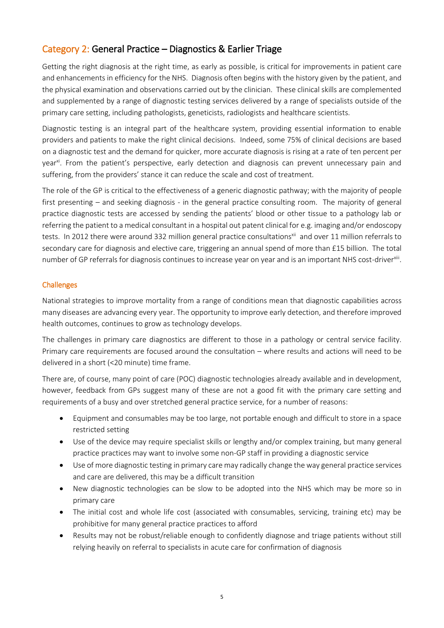## Category 2: General Practice – Diagnostics & Earlier Triage

Getting the right diagnosis at the right time, as early as possible, is critical for improvements in patient care and enhancements in efficiency for the NHS. Diagnosis often begins with the history given by the patient, and the physical examination and observations carried out by the clinician. These clinical skills are complemented and supplemented by a range of diagnostic testing services delivered by a range of specialists outside of the primary care setting, including pathologists, geneticists, radiologists and healthcare scientists.

Diagnostic testing is an integral part of the healthcare system, providing essential information to enable providers and patients to make the right clinical decisions. Indeed, some 75% of clinical decisions are based on a diagnostic test and the demand for quicker, more accurate diagnosis is rising at a rate of ten percent per year<sup>xi</sup>. From the patient's perspective, early detection and diagnosis can prevent unnecessary pain and suffering, from the providers' stance it can reduce the scale and cost of treatment.

The role of the GP is critical to the effectiveness of a generic diagnostic pathway; with the majority of people first presenting – and seeking diagnosis - in the general practice consulting room. The majority of general practice diagnostic tests are accessed by sending the patients' blood or other tissue to a pathology lab or referring the patient to a medical consultant in a hospital out patent clinical for e.g. imaging and/or endoscopy tests. In 2012 there were around 332 million general practice consultations<sup>xii</sup> and over 11 million referrals to secondary care for diagnosis and elective care, triggering an annual spend of more than £15 billion. The total number of GP referrals for diagnosis continues to increase year on year and is an important NHS cost-driver<sup>xiii</sup>.

#### Challenges

National strategies to improve mortality from a range of conditions mean that diagnostic capabilities across many diseases are advancing every year. The opportunity to improve early detection, and therefore improved health outcomes, continues to grow as technology develops.

The challenges in primary care diagnostics are different to those in a pathology or central service facility. Primary care requirements are focused around the consultation – where results and actions will need to be delivered in a short (<20 minute) time frame.

There are, of course, many point of care (POC) diagnostic technologies already available and in development, however, feedback from GPs suggest many of these are not a good fit with the primary care setting and requirements of a busy and over stretched general practice service, for a number of reasons:

- Equipment and consumables may be too large, not portable enough and difficult to store in a space restricted setting
- Use of the device may require specialist skills or lengthy and/or complex training, but many general practice practices may want to involve some non-GP staff in providing a diagnostic service
- Use of more diagnostic testing in primary care may radically change the way general practice services and care are delivered, this may be a difficult transition
- New diagnostic technologies can be slow to be adopted into the NHS which may be more so in primary care
- The initial cost and whole life cost (associated with consumables, servicing, training etc) may be prohibitive for many general practice practices to afford
- Results may not be robust/reliable enough to confidently diagnose and triage patients without still relying heavily on referral to specialists in acute care for confirmation of diagnosis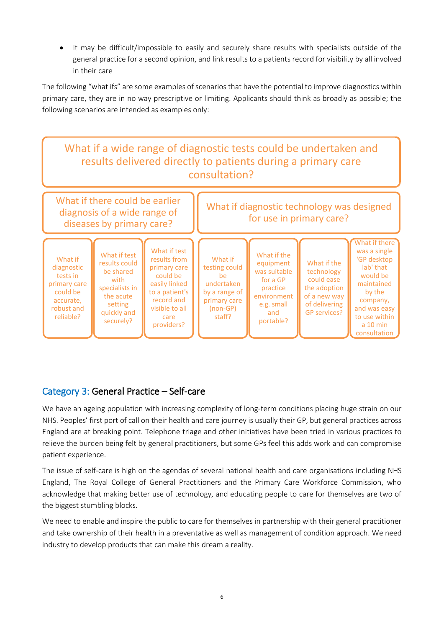It may be difficult/impossible to easily and securely share results with specialists outside of the general practice for a second opinion, and link results to a patients record for visibility by all involved in their care

The following "what ifs" are some examples of scenarios that have the potential to improve diagnostics within primary care, they are in no way prescriptive or limiting. Applicants should think as broadly as possible; the following scenarios are intended as examples only:

![](_page_5_Figure_2.jpeg)

## Category 3: General Practice – Self-care

We have an ageing population with increasing complexity of long-term conditions placing huge strain on our NHS. Peoples' first port of call on their health and care journey is usually their GP, but general practices across England are at breaking point. Telephone triage and other initiatives have been tried in various practices to relieve the burden being felt by general practitioners, but some GPs feel this adds work and can compromise patient experience.

The issue of self-care is high on the agendas of several national health and care organisations including NHS England, The Royal College of General Practitioners and the Primary Care Workforce Commission, who acknowledge that making better use of technology, and educating people to care for themselves are two of the biggest stumbling blocks.

We need to enable and inspire the public to care for themselves in partnership with their general practitioner and take ownership of their health in a preventative as well as management of condition approach. We need industry to develop products that can make this dream a reality.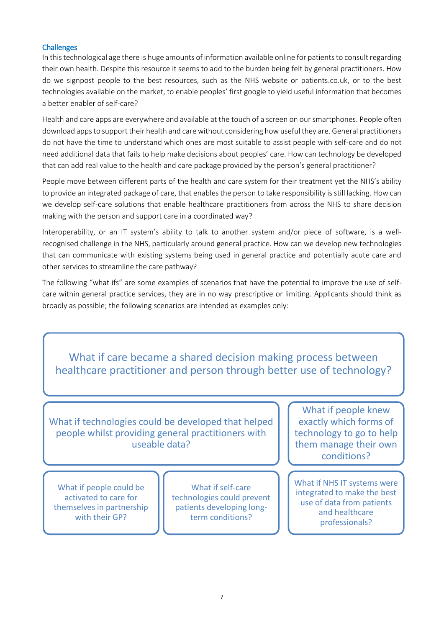#### **Challenges**

with their GP?

In this technological age there is huge amounts of information available online for patients to consult regarding their own health. Despite this resource it seems to add to the burden being felt by general practitioners. How do we signpost people to the best resources, such as the NHS website or patients.co.uk, or to the best technologies available on the market, to enable peoples' first google to yield useful information that becomes a better enabler of self-care?

Health and care apps are everywhere and available at the touch of a screen on our smartphones. People often download apps to support their health and care without considering how useful they are. General practitioners do not have the time to understand which ones are most suitable to assist people with self-care and do not need additional data that fails to help make decisions about peoples' care. How can technology be developed that can add real value to the health and care package provided by the person's general practitioner?

People move between different parts of the health and care system for their treatment yet the NHS's ability to provide an integrated package of care, that enables the person to take responsibility is still lacking. How can we develop self-care solutions that enable healthcare practitioners from across the NHS to share decision making with the person and support care in a coordinated way?

Interoperability, or an IT system's ability to talk to another system and/or piece of software, is a wellrecognised challenge in the NHS, particularly around general practice. How can we develop new technologies that can communicate with existing systems being used in general practice and potentially acute care and other services to streamline the care pathway?

The following "what ifs" are some examples of scenarios that have the potential to improve the use of selfcare within general practice services, they are in no way prescriptive or limiting. Applicants should think as broadly as possible; the following scenarios are intended as examples only:

![](_page_6_Picture_6.jpeg)

term conditions? professionals?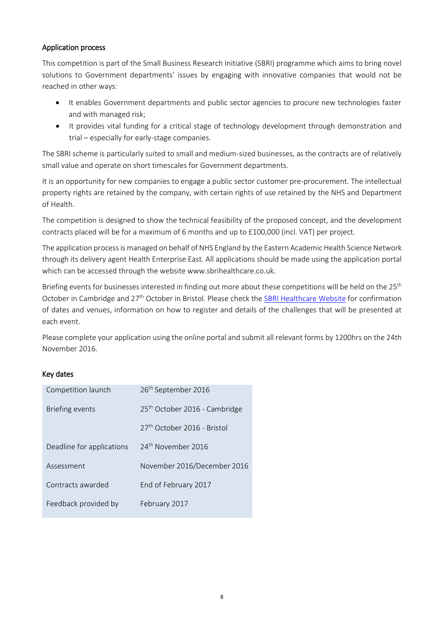#### Application process

This competition is part of the Small Business Research Initiative (SBRI) programme which aims to bring novel solutions to Government departments' issues by engaging with innovative companies that would not be reached in other ways:

- It enables Government departments and public sector agencies to procure new technologies faster and with managed risk;
- It provides vital funding for a critical stage of technology development through demonstration and trial – especially for early-stage companies.

The SBRI scheme is particularly suited to small and medium-sized businesses, as the contracts are of relatively small value and operate on short timescales for Government departments.

It is an opportunity for new companies to engage a public sector customer pre-procurement. The intellectual property rights are retained by the company, with certain rights of use retained by the NHS and Department of Health.

The competition is designed to show the technical feasibility of the proposed concept, and the development contracts placed will be for a maximum of 6 months and up to £100,000 (incl. VAT) per project.

The application process is managed on behalf of NHS England by the Eastern Academic Health Science Network through its delivery agent Health Enterprise East. All applications should be made using the application portal which can be accessed through the websit[e www.sbrihealthcare.co.uk.](http://www.sbrihealthcare.co.uk/)

Briefing events for businesses interested in finding out more about these competitions will be held on the 25<sup>th</sup> October in Cambridge and 27<sup>th</sup> October in Bristol. Please check the [SBRI Healthcare Website](http://sbrihealthcare.co.uk/) for confirmation of dates and venues, information on how to register and details of the challenges that will be presented at each event.

Please complete your application using the online portal and submit all relevant forms by 1200hrs on the 24th November 2016.

#### Key dates

| Competition launch        | 26 <sup>th</sup> September 2016           |
|---------------------------|-------------------------------------------|
| <b>Briefing events</b>    | 25 <sup>th</sup> October 2016 - Cambridge |
|                           | 27 <sup>th</sup> October 2016 - Bristol   |
| Deadline for applications | 24 <sup>th</sup> November 2016            |
| Assessment                | November 2016/December 2016               |
| Contracts awarded         | End of February 2017                      |
| Feedback provided by      | February 2017                             |